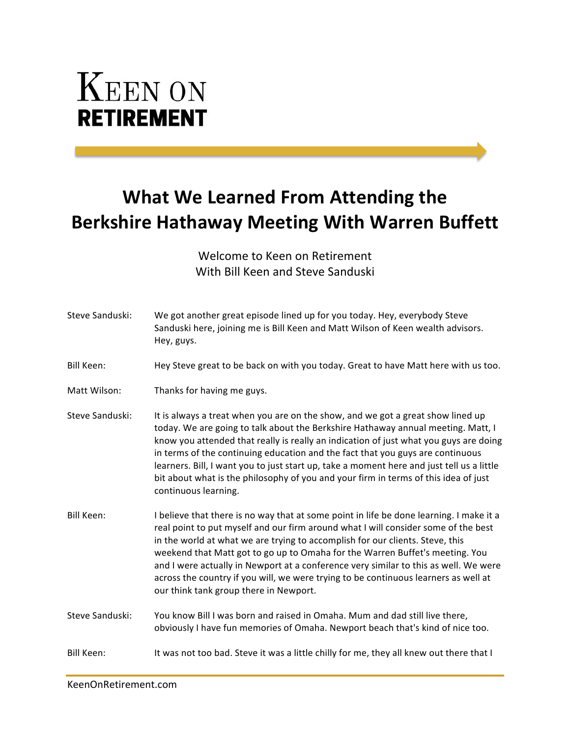## **KEEN ON RETIREMENT**

## **What We Learned From Attending the Berkshire Hathaway Meeting With Warren Buffett**

Welcome to Keen on Retirement With Bill Keen and Steve Sanduski

| Steve Sanduski:   | We got another great episode lined up for you today. Hey, everybody Steve<br>Sanduski here, joining me is Bill Keen and Matt Wilson of Keen wealth advisors.<br>Hey, guys.                                                                                                                                                                                                                                                                                                                                                                                              |
|-------------------|-------------------------------------------------------------------------------------------------------------------------------------------------------------------------------------------------------------------------------------------------------------------------------------------------------------------------------------------------------------------------------------------------------------------------------------------------------------------------------------------------------------------------------------------------------------------------|
| <b>Bill Keen:</b> | Hey Steve great to be back on with you today. Great to have Matt here with us too.                                                                                                                                                                                                                                                                                                                                                                                                                                                                                      |
| Matt Wilson:      | Thanks for having me guys.                                                                                                                                                                                                                                                                                                                                                                                                                                                                                                                                              |
| Steve Sanduski:   | It is always a treat when you are on the show, and we got a great show lined up<br>today. We are going to talk about the Berkshire Hathaway annual meeting. Matt, I<br>know you attended that really is really an indication of just what you guys are doing<br>in terms of the continuing education and the fact that you guys are continuous<br>learners. Bill, I want you to just start up, take a moment here and just tell us a little<br>bit about what is the philosophy of you and your firm in terms of this idea of just<br>continuous learning.              |
| Bill Keen:        | I believe that there is no way that at some point in life be done learning. I make it a<br>real point to put myself and our firm around what I will consider some of the best<br>in the world at what we are trying to accomplish for our clients. Steve, this<br>weekend that Matt got to go up to Omaha for the Warren Buffet's meeting. You<br>and I were actually in Newport at a conference very similar to this as well. We were<br>across the country if you will, we were trying to be continuous learners as well at<br>our think tank group there in Newport. |
| Steve Sanduski:   | You know Bill I was born and raised in Omaha. Mum and dad still live there,<br>obviously I have fun memories of Omaha. Newport beach that's kind of nice too.                                                                                                                                                                                                                                                                                                                                                                                                           |
| Bill Keen:        | It was not too bad. Steve it was a little chilly for me, they all knew out there that I                                                                                                                                                                                                                                                                                                                                                                                                                                                                                 |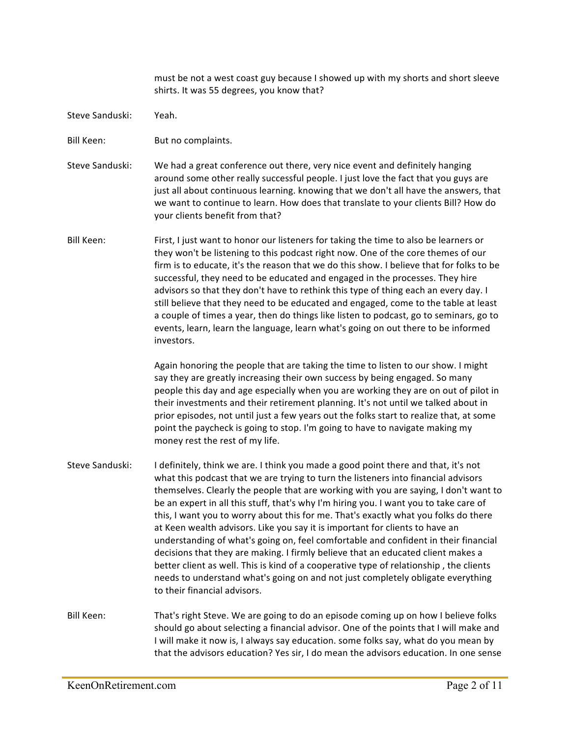must be not a west coast guy because I showed up with my shorts and short sleeve shirts. It was 55 degrees, you know that?

- Steve Sanduski: Yeah.
- Bill Keen: But no complaints.
- Steve Sanduski: We had a great conference out there, very nice event and definitely hanging around some other really successful people. I just love the fact that you guys are just all about continuous learning. knowing that we don't all have the answers, that we want to continue to learn. How does that translate to your clients Bill? How do your clients benefit from that?
- Bill Keen: First, I just want to honor our listeners for taking the time to also be learners or they won't be listening to this podcast right now. One of the core themes of our firm is to educate, it's the reason that we do this show. I believe that for folks to be successful, they need to be educated and engaged in the processes. They hire advisors so that they don't have to rethink this type of thing each an every day. I still believe that they need to be educated and engaged, come to the table at least a couple of times a year, then do things like listen to podcast, go to seminars, go to events, learn, learn the language, learn what's going on out there to be informed investors.

Again honoring the people that are taking the time to listen to our show. I might say they are greatly increasing their own success by being engaged. So many people this day and age especially when you are working they are on out of pilot in their investments and their retirement planning. It's not until we talked about in prior episodes, not until just a few years out the folks start to realize that, at some point the paycheck is going to stop. I'm going to have to navigate making my money rest the rest of my life.

- Steve Sanduski: I definitely, think we are. I think you made a good point there and that, it's not what this podcast that we are trying to turn the listeners into financial advisors themselves. Clearly the people that are working with you are saying, I don't want to be an expert in all this stuff, that's why I'm hiring you. I want you to take care of this, I want you to worry about this for me. That's exactly what you folks do there at Keen wealth advisors. Like you say it is important for clients to have an understanding of what's going on, feel comfortable and confident in their financial decisions that they are making. I firmly believe that an educated client makes a better client as well. This is kind of a cooperative type of relationship, the clients needs to understand what's going on and not just completely obligate everything to their financial advisors.
- Bill Keen: That's right Steve. We are going to do an episode coming up on how I believe folks should go about selecting a financial advisor. One of the points that I will make and I will make it now is, I always say education. some folks say, what do you mean by that the advisors education? Yes sir, I do mean the advisors education. In one sense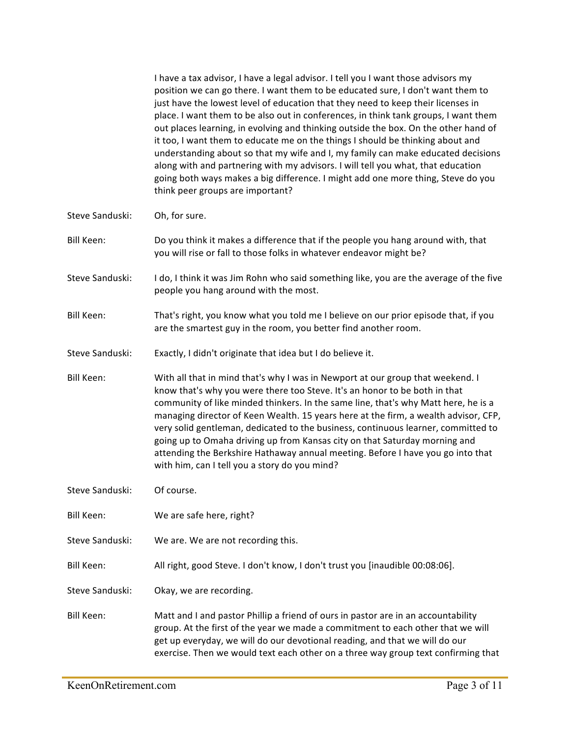|                   | I have a tax advisor, I have a legal advisor. I tell you I want those advisors my<br>position we can go there. I want them to be educated sure, I don't want them to<br>just have the lowest level of education that they need to keep their licenses in<br>place. I want them to be also out in conferences, in think tank groups, I want them<br>out places learning, in evolving and thinking outside the box. On the other hand of<br>it too, I want them to educate me on the things I should be thinking about and<br>understanding about so that my wife and I, my family can make educated decisions<br>along with and partnering with my advisors. I will tell you what, that education<br>going both ways makes a big difference. I might add one more thing, Steve do you<br>think peer groups are important? |
|-------------------|--------------------------------------------------------------------------------------------------------------------------------------------------------------------------------------------------------------------------------------------------------------------------------------------------------------------------------------------------------------------------------------------------------------------------------------------------------------------------------------------------------------------------------------------------------------------------------------------------------------------------------------------------------------------------------------------------------------------------------------------------------------------------------------------------------------------------|
| Steve Sanduski:   | Oh, for sure.                                                                                                                                                                                                                                                                                                                                                                                                                                                                                                                                                                                                                                                                                                                                                                                                            |
| Bill Keen:        | Do you think it makes a difference that if the people you hang around with, that<br>you will rise or fall to those folks in whatever endeavor might be?                                                                                                                                                                                                                                                                                                                                                                                                                                                                                                                                                                                                                                                                  |
| Steve Sanduski:   | I do, I think it was Jim Rohn who said something like, you are the average of the five<br>people you hang around with the most.                                                                                                                                                                                                                                                                                                                                                                                                                                                                                                                                                                                                                                                                                          |
| Bill Keen:        | That's right, you know what you told me I believe on our prior episode that, if you<br>are the smartest guy in the room, you better find another room.                                                                                                                                                                                                                                                                                                                                                                                                                                                                                                                                                                                                                                                                   |
| Steve Sanduski:   | Exactly, I didn't originate that idea but I do believe it.                                                                                                                                                                                                                                                                                                                                                                                                                                                                                                                                                                                                                                                                                                                                                               |
| <b>Bill Keen:</b> | With all that in mind that's why I was in Newport at our group that weekend. I<br>know that's why you were there too Steve. It's an honor to be both in that<br>community of like minded thinkers. In the same line, that's why Matt here, he is a<br>managing director of Keen Wealth. 15 years here at the firm, a wealth advisor, CFP,<br>very solid gentleman, dedicated to the business, continuous learner, committed to<br>going up to Omaha driving up from Kansas city on that Saturday morning and<br>attending the Berkshire Hathaway annual meeting. Before I have you go into that<br>with him, can I tell you a story do you mind?                                                                                                                                                                         |
| Steve Sanduski:   | Of course.                                                                                                                                                                                                                                                                                                                                                                                                                                                                                                                                                                                                                                                                                                                                                                                                               |
| Bill Keen:        | We are safe here, right?                                                                                                                                                                                                                                                                                                                                                                                                                                                                                                                                                                                                                                                                                                                                                                                                 |
| Steve Sanduski:   | We are. We are not recording this.                                                                                                                                                                                                                                                                                                                                                                                                                                                                                                                                                                                                                                                                                                                                                                                       |
| Bill Keen:        | All right, good Steve. I don't know, I don't trust you [inaudible 00:08:06].                                                                                                                                                                                                                                                                                                                                                                                                                                                                                                                                                                                                                                                                                                                                             |
| Steve Sanduski:   | Okay, we are recording.                                                                                                                                                                                                                                                                                                                                                                                                                                                                                                                                                                                                                                                                                                                                                                                                  |
| Bill Keen:        | Matt and I and pastor Phillip a friend of ours in pastor are in an accountability<br>group. At the first of the year we made a commitment to each other that we will<br>get up everyday, we will do our devotional reading, and that we will do our<br>exercise. Then we would text each other on a three way group text confirming that                                                                                                                                                                                                                                                                                                                                                                                                                                                                                 |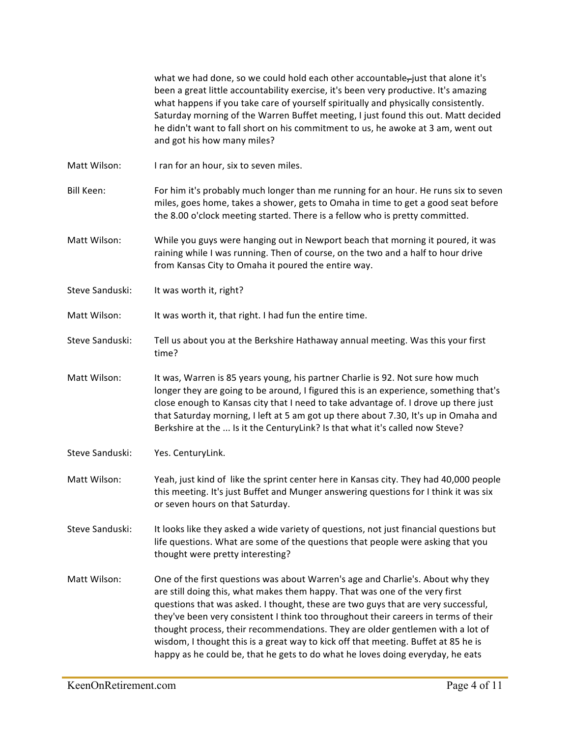what we had done, so we could hold each other accountable-just that alone it's been a great little accountability exercise, it's been very productive. It's amazing what happens if you take care of yourself spiritually and physically consistently. Saturday morning of the Warren Buffet meeting, I just found this out. Matt decided he didn't want to fall short on his commitment to us, he awoke at 3 am, went out and got his how many miles? Matt Wilson: I ran for an hour, six to seven miles. Bill Keen: For him it's probably much longer than me running for an hour. He runs six to seven miles, goes home, takes a shower, gets to Omaha in time to get a good seat before the 8.00 o'clock meeting started. There is a fellow who is pretty committed. Matt Wilson: While you guys were hanging out in Newport beach that morning it poured, it was raining while I was running. Then of course, on the two and a half to hour drive from Kansas City to Omaha it poured the entire way. Steve Sanduski: It was worth it, right? Matt Wilson: It was worth it, that right. I had fun the entire time. Steve Sanduski: Tell us about you at the Berkshire Hathaway annual meeting. Was this your first time? Matt Wilson: It was, Warren is 85 years young, his partner Charlie is 92. Not sure how much longer they are going to be around, I figured this is an experience, something that's close enough to Kansas city that I need to take advantage of. I drove up there just that Saturday morning, I left at 5 am got up there about 7.30, It's up in Omaha and Berkshire at the ... Is it the CenturyLink? Is that what it's called now Steve? Steve Sanduski: Yes. CenturyLink. Matt Wilson: Yeah, just kind of like the sprint center here in Kansas city. They had 40,000 people this meeting. It's just Buffet and Munger answering questions for I think it was six or seven hours on that Saturday. Steve Sanduski: It looks like they asked a wide variety of questions, not just financial questions but life questions. What are some of the questions that people were asking that you thought were pretty interesting? Matt Wilson: One of the first questions was about Warren's age and Charlie's. About why they are still doing this, what makes them happy. That was one of the very first questions that was asked. I thought, these are two guys that are very successful, they've been very consistent I think too throughout their careers in terms of their thought process, their recommendations. They are older gentlemen with a lot of wisdom, I thought this is a great way to kick off that meeting. Buffet at 85 he is happy as he could be, that he gets to do what he loves doing everyday, he eats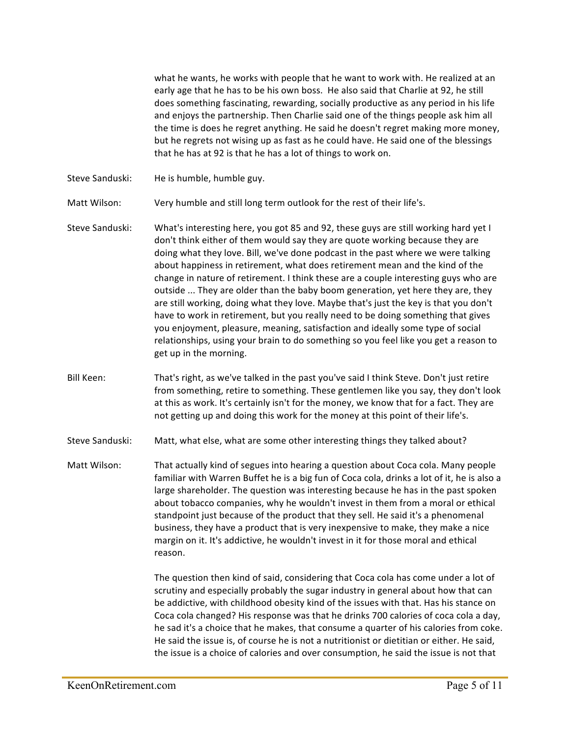what he wants, he works with people that he want to work with. He realized at an early age that he has to be his own boss. He also said that Charlie at 92, he still does something fascinating, rewarding, socially productive as any period in his life and enjoys the partnership. Then Charlie said one of the things people ask him all the time is does he regret anything. He said he doesn't regret making more money, but he regrets not wising up as fast as he could have. He said one of the blessings that he has at 92 is that he has a lot of things to work on.

Steve Sanduski: He is humble, humble guy.

Matt Wilson: Very humble and still long term outlook for the rest of their life's.

- Steve Sanduski: What's interesting here, you got 85 and 92, these guys are still working hard yet I don't think either of them would say they are quote working because they are doing what they love. Bill, we've done podcast in the past where we were talking about happiness in retirement, what does retirement mean and the kind of the change in nature of retirement. I think these are a couple interesting guys who are outside ... They are older than the baby boom generation, yet here they are, they are still working, doing what they love. Maybe that's just the key is that you don't have to work in retirement, but you really need to be doing something that gives you enjoyment, pleasure, meaning, satisfaction and ideally some type of social relationships, using your brain to do something so you feel like you get a reason to get up in the morning.
- Bill Keen: That's right, as we've talked in the past you've said I think Steve. Don't just retire from something, retire to something. These gentlemen like you say, they don't look at this as work. It's certainly isn't for the money, we know that for a fact. They are not getting up and doing this work for the money at this point of their life's.
- Steve Sanduski: Matt, what else, what are some other interesting things they talked about?
- Matt Wilson: That actually kind of segues into hearing a question about Coca cola. Many people familiar with Warren Buffet he is a big fun of Coca cola, drinks a lot of it, he is also a large shareholder. The question was interesting because he has in the past spoken about tobacco companies, why he wouldn't invest in them from a moral or ethical standpoint just because of the product that they sell. He said it's a phenomenal business, they have a product that is very inexpensive to make, they make a nice margin on it. It's addictive, he wouldn't invest in it for those moral and ethical reason.

The question then kind of said, considering that Coca cola has come under a lot of scrutiny and especially probably the sugar industry in general about how that can be addictive, with childhood obesity kind of the issues with that. Has his stance on Coca cola changed? His response was that he drinks 700 calories of coca cola a day, he sad it's a choice that he makes, that consume a quarter of his calories from coke. He said the issue is, of course he is not a nutritionist or dietitian or either. He said, the issue is a choice of calories and over consumption, he said the issue is not that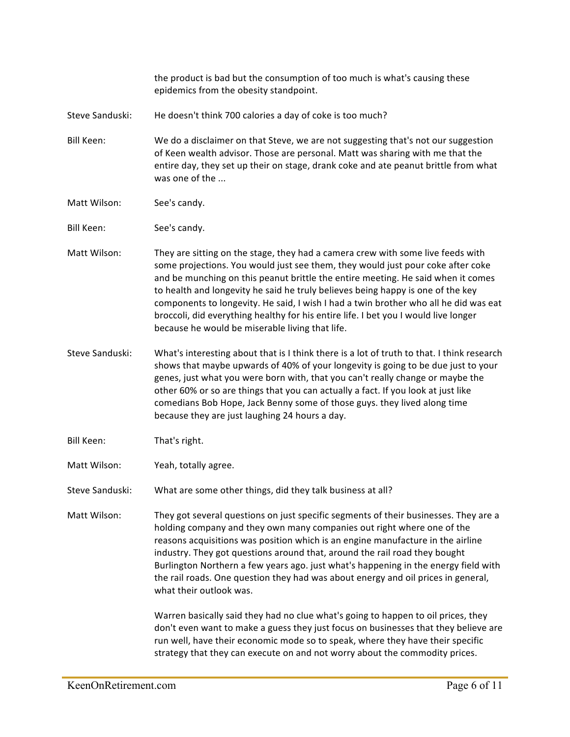the product is bad but the consumption of too much is what's causing these epidemics from the obesity standpoint.

- Steve Sanduski: He doesn't think 700 calories a day of coke is too much?
- Bill Keen: We do a disclaimer on that Steve, we are not suggesting that's not our suggestion of Keen wealth advisor. Those are personal. Matt was sharing with me that the entire day, they set up their on stage, drank coke and ate peanut brittle from what was one of the ...
- Matt Wilson: See's candy.
- Bill Keen: See's candy.
- Matt Wilson: They are sitting on the stage, they had a camera crew with some live feeds with some projections. You would just see them, they would just pour coke after coke and be munching on this peanut brittle the entire meeting. He said when it comes to health and longevity he said he truly believes being happy is one of the key components to longevity. He said, I wish I had a twin brother who all he did was eat broccoli, did everything healthy for his entire life. I bet you I would live longer because he would be miserable living that life.
- Steve Sanduski: What's interesting about that is I think there is a lot of truth to that. I think research shows that maybe upwards of 40% of your longevity is going to be due just to your genes, just what you were born with, that you can't really change or maybe the other 60% or so are things that you can actually a fact. If you look at just like comedians Bob Hope, Jack Benny some of those guys. they lived along time because they are just laughing 24 hours a day.
- Bill Keen: That's right.
- Matt Wilson: Yeah, totally agree.
- Steve Sanduski: What are some other things, did they talk business at all?

Matt Wilson: They got several questions on just specific segments of their businesses. They are a holding company and they own many companies out right where one of the reasons acquisitions was position which is an engine manufacture in the airline industry. They got questions around that, around the rail road they bought Burlington Northern a few years ago. just what's happening in the energy field with the rail roads. One question they had was about energy and oil prices in general, what their outlook was.

> Warren basically said they had no clue what's going to happen to oil prices, they don't even want to make a guess they just focus on businesses that they believe are run well, have their economic mode so to speak, where they have their specific strategy that they can execute on and not worry about the commodity prices.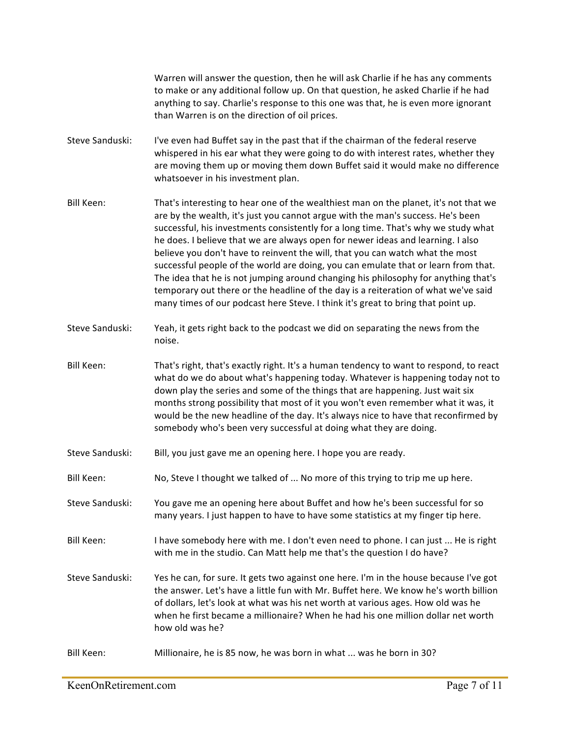Warren will answer the question, then he will ask Charlie if he has any comments to make or any additional follow up. On that question, he asked Charlie if he had anything to say. Charlie's response to this one was that, he is even more ignorant than Warren is on the direction of oil prices.

- Steve Sanduski: I've even had Buffet say in the past that if the chairman of the federal reserve whispered in his ear what they were going to do with interest rates, whether they are moving them up or moving them down Buffet said it would make no difference whatsoever in his investment plan.
- Bill Keen: That's interesting to hear one of the wealthiest man on the planet, it's not that we are by the wealth, it's just you cannot argue with the man's success. He's been successful, his investments consistently for a long time. That's why we study what he does. I believe that we are always open for newer ideas and learning. I also believe you don't have to reinvent the will, that you can watch what the most successful people of the world are doing, you can emulate that or learn from that. The idea that he is not jumping around changing his philosophy for anything that's temporary out there or the headline of the day is a reiteration of what we've said many times of our podcast here Steve. I think it's great to bring that point up.
- Steve Sanduski: Yeah, it gets right back to the podcast we did on separating the news from the noise.
- Bill Keen: That's right, that's exactly right. It's a human tendency to want to respond, to react what do we do about what's happening today. Whatever is happening today not to down play the series and some of the things that are happening. Just wait six months strong possibility that most of it you won't even remember what it was, it would be the new headline of the day. It's always nice to have that reconfirmed by somebody who's been very successful at doing what they are doing.
- Steve Sanduski: Bill, you just gave me an opening here. I hope you are ready.
- Bill Keen: No, Steve I thought we talked of ... No more of this trying to trip me up here.
- Steve Sanduski: You gave me an opening here about Buffet and how he's been successful for so many years. I just happen to have to have some statistics at my finger tip here.
- Bill Keen: I have somebody here with me. I don't even need to phone. I can just ... He is right with me in the studio. Can Matt help me that's the question I do have?
- Steve Sanduski: Yes he can, for sure. It gets two against one here. I'm in the house because I've got the answer. Let's have a little fun with Mr. Buffet here. We know he's worth billion of dollars, let's look at what was his net worth at various ages. How old was he when he first became a millionaire? When he had his one million dollar net worth how old was he?
- Bill Keen: Millionaire, he is 85 now, he was born in what ... was he born in 30?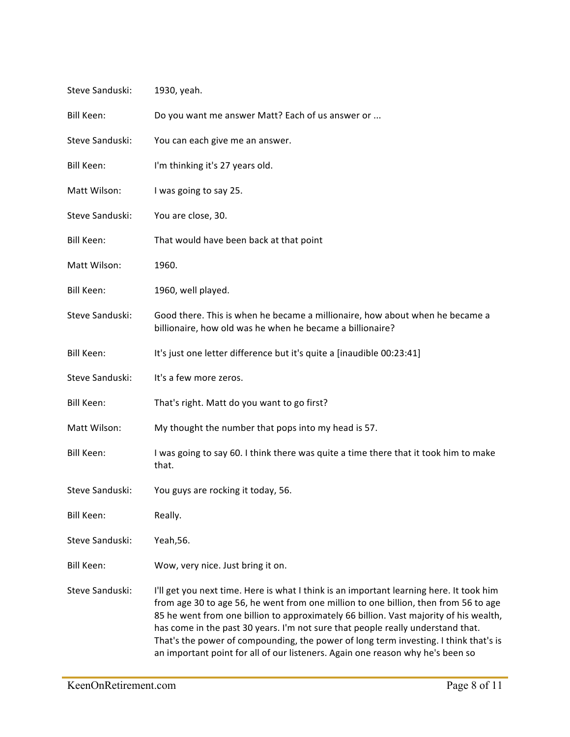| Steve Sanduski:   | 1930, yeah.                                                                                                                                                                                                                                                                                                                                                                                                                                                                                                                          |
|-------------------|--------------------------------------------------------------------------------------------------------------------------------------------------------------------------------------------------------------------------------------------------------------------------------------------------------------------------------------------------------------------------------------------------------------------------------------------------------------------------------------------------------------------------------------|
| Bill Keen:        | Do you want me answer Matt? Each of us answer or                                                                                                                                                                                                                                                                                                                                                                                                                                                                                     |
| Steve Sanduski:   | You can each give me an answer.                                                                                                                                                                                                                                                                                                                                                                                                                                                                                                      |
| Bill Keen:        | I'm thinking it's 27 years old.                                                                                                                                                                                                                                                                                                                                                                                                                                                                                                      |
| Matt Wilson:      | I was going to say 25.                                                                                                                                                                                                                                                                                                                                                                                                                                                                                                               |
| Steve Sanduski:   | You are close, 30.                                                                                                                                                                                                                                                                                                                                                                                                                                                                                                                   |
| Bill Keen:        | That would have been back at that point                                                                                                                                                                                                                                                                                                                                                                                                                                                                                              |
| Matt Wilson:      | 1960.                                                                                                                                                                                                                                                                                                                                                                                                                                                                                                                                |
| Bill Keen:        | 1960, well played.                                                                                                                                                                                                                                                                                                                                                                                                                                                                                                                   |
| Steve Sanduski:   | Good there. This is when he became a millionaire, how about when he became a<br>billionaire, how old was he when he became a billionaire?                                                                                                                                                                                                                                                                                                                                                                                            |
| <b>Bill Keen:</b> | It's just one letter difference but it's quite a [inaudible 00:23:41]                                                                                                                                                                                                                                                                                                                                                                                                                                                                |
| Steve Sanduski:   | It's a few more zeros.                                                                                                                                                                                                                                                                                                                                                                                                                                                                                                               |
| Bill Keen:        | That's right. Matt do you want to go first?                                                                                                                                                                                                                                                                                                                                                                                                                                                                                          |
| Matt Wilson:      | My thought the number that pops into my head is 57.                                                                                                                                                                                                                                                                                                                                                                                                                                                                                  |
| Bill Keen:        | I was going to say 60. I think there was quite a time there that it took him to make<br>that.                                                                                                                                                                                                                                                                                                                                                                                                                                        |
| Steve Sanduski:   | You guys are rocking it today, 56.                                                                                                                                                                                                                                                                                                                                                                                                                                                                                                   |
| Bill Keen:        | Really.                                                                                                                                                                                                                                                                                                                                                                                                                                                                                                                              |
| Steve Sanduski:   | Yeah, 56.                                                                                                                                                                                                                                                                                                                                                                                                                                                                                                                            |
| Bill Keen:        | Wow, very nice. Just bring it on.                                                                                                                                                                                                                                                                                                                                                                                                                                                                                                    |
| Steve Sanduski:   | I'll get you next time. Here is what I think is an important learning here. It took him<br>from age 30 to age 56, he went from one million to one billion, then from 56 to age<br>85 he went from one billion to approximately 66 billion. Vast majority of his wealth,<br>has come in the past 30 years. I'm not sure that people really understand that.<br>That's the power of compounding, the power of long term investing. I think that's is<br>an important point for all of our listeners. Again one reason why he's been so |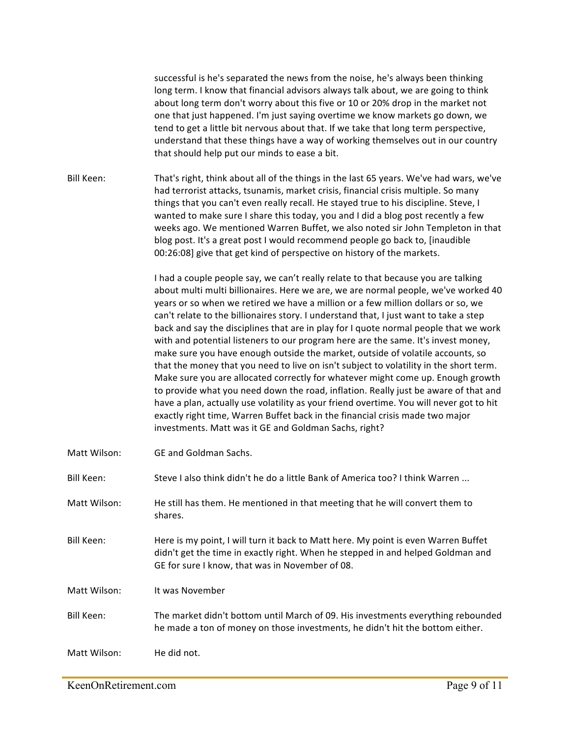successful is he's separated the news from the noise, he's always been thinking long term. I know that financial advisors always talk about, we are going to think about long term don't worry about this five or 10 or 20% drop in the market not one that just happened. I'm just saying overtime we know markets go down, we tend to get a little bit nervous about that. If we take that long term perspective, understand that these things have a way of working themselves out in our country that should help put our minds to ease a bit.

Bill Keen: That's right, think about all of the things in the last 65 years. We've had wars, we've had terrorist attacks, tsunamis, market crisis, financial crisis multiple. So many things that you can't even really recall. He stayed true to his discipline. Steve, I wanted to make sure I share this today, you and I did a blog post recently a few weeks ago. We mentioned Warren Buffet, we also noted sir John Templeton in that blog post. It's a great post I would recommend people go back to, [inaudible 00:26:08] give that get kind of perspective on history of the markets.

> I had a couple people say, we can't really relate to that because you are talking about multi multi billionaires. Here we are, we are normal people, we've worked 40 years or so when we retired we have a million or a few million dollars or so, we can't relate to the billionaires story. I understand that, I just want to take a step back and say the disciplines that are in play for I quote normal people that we work with and potential listeners to our program here are the same. It's invest money, make sure you have enough outside the market, outside of volatile accounts, so that the money that you need to live on isn't subject to volatility in the short term. Make sure you are allocated correctly for whatever might come up. Enough growth to provide what you need down the road, inflation. Really just be aware of that and have a plan, actually use volatility as your friend overtime. You will never got to hit exactly right time, Warren Buffet back in the financial crisis made two major investments. Matt was it GE and Goldman Sachs, right?

Matt Wilson: GE and Goldman Sachs.

Bill Keen: Steve I also think didn't he do a little Bank of America too? I think Warren ...

- Matt Wilson: He still has them. He mentioned in that meeting that he will convert them to shares.
- Bill Keen: Here is my point, I will turn it back to Matt here. My point is even Warren Buffet didn't get the time in exactly right. When he stepped in and helped Goldman and GE for sure I know, that was in November of 08.

Matt Wilson: It was November

Bill Keen: The market didn't bottom until March of 09. His investments everything rebounded he made a ton of money on those investments, he didn't hit the bottom either.

Matt Wilson: He did not.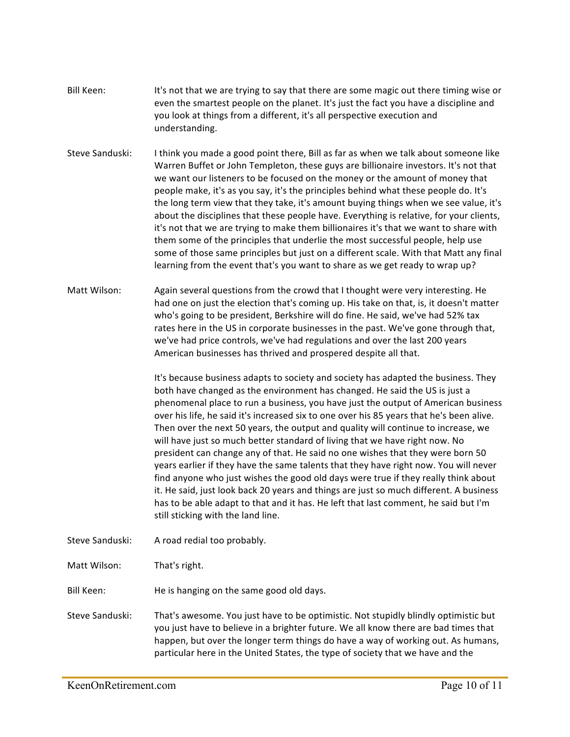- Bill Keen: It's not that we are trying to say that there are some magic out there timing wise or even the smartest people on the planet. It's just the fact you have a discipline and you look at things from a different, it's all perspective execution and understanding.
- Steve Sanduski: I think you made a good point there, Bill as far as when we talk about someone like Warren Buffet or John Templeton, these guys are billionaire investors. It's not that we want our listeners to be focused on the money or the amount of money that people make, it's as you say, it's the principles behind what these people do. It's the long term view that they take, it's amount buying things when we see value, it's about the disciplines that these people have. Everything is relative, for your clients, it's not that we are trying to make them billionaires it's that we want to share with them some of the principles that underlie the most successful people, help use some of those same principles but just on a different scale. With that Matt any final learning from the event that's you want to share as we get ready to wrap up?
- Matt Wilson: Again several questions from the crowd that I thought were very interesting. He had one on just the election that's coming up. His take on that, is, it doesn't matter who's going to be president, Berkshire will do fine. He said, we've had 52% tax rates here in the US in corporate businesses in the past. We've gone through that, we've had price controls, we've had regulations and over the last 200 years American businesses has thrived and prospered despite all that.

It's because business adapts to society and society has adapted the business. They both have changed as the environment has changed. He said the US is just a phenomenal place to run a business, you have just the output of American business over his life, he said it's increased six to one over his 85 years that he's been alive. Then over the next 50 years, the output and quality will continue to increase, we will have just so much better standard of living that we have right now. No president can change any of that. He said no one wishes that they were born 50 years earlier if they have the same talents that they have right now. You will never find anyone who just wishes the good old days were true if they really think about it. He said, just look back 20 years and things are just so much different. A business has to be able adapt to that and it has. He left that last comment, he said but I'm still sticking with the land line.

Steve Sanduski: A road redial too probably.

Matt Wilson: That's right.

Bill Keen: He is hanging on the same good old days.

Steve Sanduski: That's awesome. You just have to be optimistic. Not stupidly blindly optimistic but you just have to believe in a brighter future. We all know there are bad times that happen, but over the longer term things do have a way of working out. As humans, particular here in the United States, the type of society that we have and the